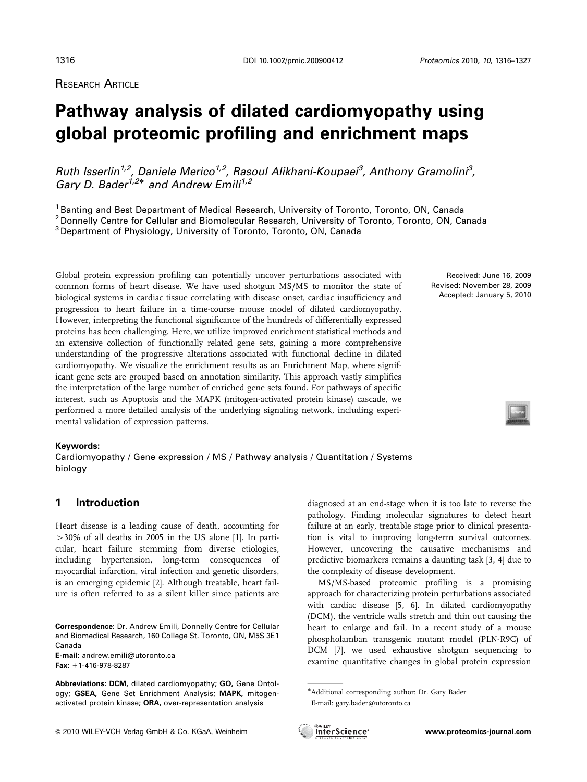RESEARCH ARTICLE

# **Pathway analysis of dilated cardiomyopathy using global proteomic profiling and enrichment maps**

Ruth Isserlin<sup>1,2</sup>, Daniele Merico<sup>1,2</sup>, Rasoul Alikhani-Koupaei<sup>3</sup>, Anthony Gramolini<sup>3</sup>, *Gary D. Bader<sup>1,2\*</sup> and Andrew Emili<sup>1,2</sup>* 

<sup>1</sup> Banting and Best Department of Medical Research, University of Toronto, Toronto, ON, Canada

<sup>2</sup> Donnelly Centre for Cellular and Biomolecular Research, University of Toronto, Toronto, ON, Canada

<sup>3</sup> Department of Physiology, University of Toronto, Toronto, ON, Canada

Global protein expression profiling can potentially uncover perturbations associated with common forms of heart disease. We have used shotgun MS/MS to monitor the state of biological systems in cardiac tissue correlating with disease onset, cardiac insufficiency and progression to heart failure in a time-course mouse model of dilated cardiomyopathy. However, interpreting the functional significance of the hundreds of differentially expressed proteins has been challenging. Here, we utilize improved enrichment statistical methods and an extensive collection of functionally related gene sets, gaining a more comprehensive understanding of the progressive alterations associated with functional decline in dilated cardiomyopathy. We visualize the enrichment results as an Enrichment Map, where significant gene sets are grouped based on annotation similarity. This approach vastly simplifies the interpretation of the large number of enriched gene sets found. For pathways of specific interest, such as Apoptosis and the MAPK (mitogen-activated protein kinase) cascade, we performed a more detailed analysis of the underlying signaling network, including experimental validation of expression patterns.

#### **Keywords:**

Cardiomyopathy / Gene expression / MS / Pathway analysis / Quantitation / Systems biology

# **1 Introduction**

Heart disease is a leading cause of death, accounting for  $>30\%$  of all deaths in 2005 in the US alone [1]. In particular, heart failure stemming from diverse etiologies, including hypertension, long-term consequences of myocardial infarction, viral infection and genetic disorders, is an emerging epidemic [2]. Although treatable, heart failure is often referred to as a silent killer since patients are

**E-mail:** andrew.emili@utoronto.ca **Fax:** +1-416-978-8287

Received: June 16, 2009 Revised: November 28, 2009 Accepted: January 5, 2010

diagnosed at an end-stage when it is too late to reverse the pathology. Finding molecular signatures to detect heart failure at an early, treatable stage prior to clinical presentation is vital to improving long-term survival outcomes. However, uncovering the causative mechanisms and predictive biomarkers remains a daunting task [3, 4] due to the complexity of disease development.

MS/MS-based proteomic profiling is a promising approach for characterizing protein perturbations associated with cardiac disease [5, 6]. In dilated cardiomyopathy (DCM), the ventricle walls stretch and thin out causing the heart to enlarge and fail. In a recent study of a mouse phospholamban transgenic mutant model (PLN-R9C) of DCM [7], we used exhaustive shotgun sequencing to examine quantitative changes in global protein expression

<sup>-</sup>Additional corresponding author: Dr. Gary Bader E-mail: gary.bader@utoronto.ca



**Correspondence:** Dr. Andrew Emili, Donnelly Centre for Cellular and Biomedical Research, 160 College St. Toronto, ON, M5S 3E1 Canada

**Abbreviations: DCM,** dilated cardiomyopathy; **GO,** Gene Ontology; **GSEA,** Gene Set Enrichment Analysis; **MAPK,** mitogenactivated protein kinase; **ORA,** over-representation analysis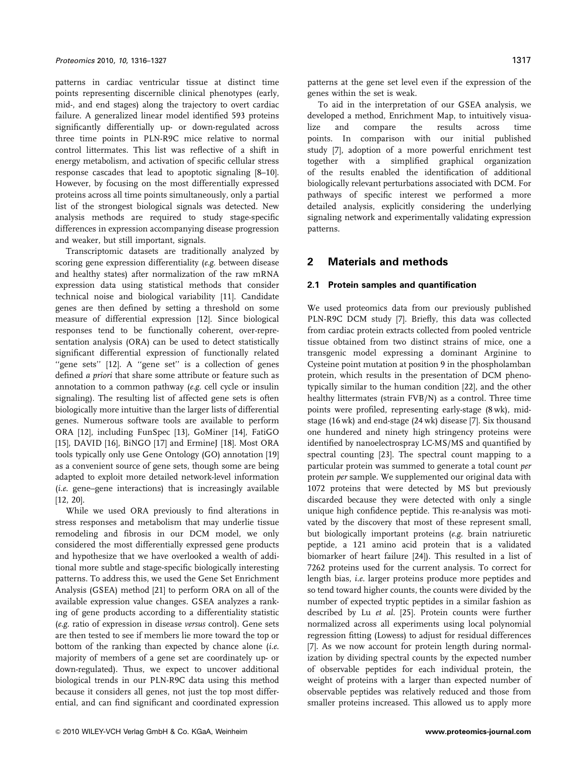patterns in cardiac ventricular tissue at distinct time points representing discernible clinical phenotypes (early, mid-, and end stages) along the trajectory to overt cardiac failure. A generalized linear model identified 593 proteins significantly differentially up- or down-regulated across three time points in PLN-R9C mice relative to normal control littermates. This list was reflective of a shift in energy metabolism, and activation of specific cellular stress response cascades that lead to apoptotic signaling [8–10]. However, by focusing on the most differentially expressed proteins across all time points simultaneously, only a partial list of the strongest biological signals was detected. New analysis methods are required to study stage-specific differences in expression accompanying disease progression and weaker, but still important, signals.

Transcriptomic datasets are traditionally analyzed by scoring gene expression differentiality (e.g. between disease and healthy states) after normalization of the raw mRNA expression data using statistical methods that consider technical noise and biological variability [11]. Candidate genes are then defined by setting a threshold on some measure of differential expression [12]. Since biological responses tend to be functionally coherent, over-representation analysis (ORA) can be used to detect statistically significant differential expression of functionally related "gene sets" [12]. A "gene set" is a collection of genes defined a priori that share some attribute or feature such as annotation to a common pathway (e.g. cell cycle or insulin signaling). The resulting list of affected gene sets is often biologically more intuitive than the larger lists of differential genes. Numerous software tools are available to perform ORA [12], including FunSpec [13], GoMiner [14], FatiGO [15], DAVID [16], BiNGO [17] and ErmineJ [18]. Most ORA tools typically only use Gene Ontology (GO) annotation [19] as a convenient source of gene sets, though some are being adapted to exploit more detailed network-level information  $(i.e.$  gene–gene interactions) that is increasingly available [12, 20].

While we used ORA previously to find alterations in stress responses and metabolism that may underlie tissue remodeling and fibrosis in our DCM model, we only considered the most differentially expressed gene products and hypothesize that we have overlooked a wealth of additional more subtle and stage-specific biologically interesting patterns. To address this, we used the Gene Set Enrichment Analysis (GSEA) method [21] to perform ORA on all of the available expression value changes. GSEA analyzes a ranking of gene products according to a differentiality statistic (e.g. ratio of expression in disease versus control). Gene sets are then tested to see if members lie more toward the top or bottom of the ranking than expected by chance alone *(i.e.*) majority of members of a gene set are coordinately up- or down-regulated). Thus, we expect to uncover additional biological trends in our PLN-R9C data using this method because it considers all genes, not just the top most differential, and can find significant and coordinated expression patterns at the gene set level even if the expression of the genes within the set is weak.

To aid in the interpretation of our GSEA analysis, we developed a method, Enrichment Map, to intuitively visualize and compare the results across time points. In comparison with our initial published study [7], adoption of a more powerful enrichment test together with a simplified graphical organization of the results enabled the identification of additional biologically relevant perturbations associated with DCM. For pathways of specific interest we performed a more detailed analysis, explicitly considering the underlying signaling network and experimentally validating expression patterns.

# **2 Materials and methods**

#### **2.1 Protein samples and quantification**

We used proteomics data from our previously published PLN-R9C DCM study [7]. Briefly, this data was collected from cardiac protein extracts collected from pooled ventricle tissue obtained from two distinct strains of mice, one a transgenic model expressing a dominant Arginine to Cysteine point mutation at position 9 in the phospholamban protein, which results in the presentation of DCM phenotypically similar to the human condition [22], and the other healthy littermates (strain FVB/N) as a control. Three time points were profiled, representing early-stage (8 wk), midstage (16 wk) and end-stage (24 wk) disease [7]. Six thousand one hundered and ninety high stringency proteins were identified by nanoelectrospray LC-MS/MS and quantified by spectral counting [23]. The spectral count mapping to a particular protein was summed to generate a total count per protein per sample. We supplemented our original data with 1072 proteins that were detected by MS but previously discarded because they were detected with only a single unique high confidence peptide. This re-analysis was motivated by the discovery that most of these represent small, but biologically important proteins (e.g. brain natriuretic peptide, a 121 amino acid protein that is a validated biomarker of heart failure [24]). This resulted in a list of 7262 proteins used for the current analysis. To correct for length bias, i.e. larger proteins produce more peptides and so tend toward higher counts, the counts were divided by the number of expected tryptic peptides in a similar fashion as described by Lu et al. [25]. Protein counts were further normalized across all experiments using local polynomial regression fitting (Lowess) to adjust for residual differences [7]. As we now account for protein length during normalization by dividing spectral counts by the expected number of observable peptides for each individual protein, the weight of proteins with a larger than expected number of observable peptides was relatively reduced and those from smaller proteins increased. This allowed us to apply more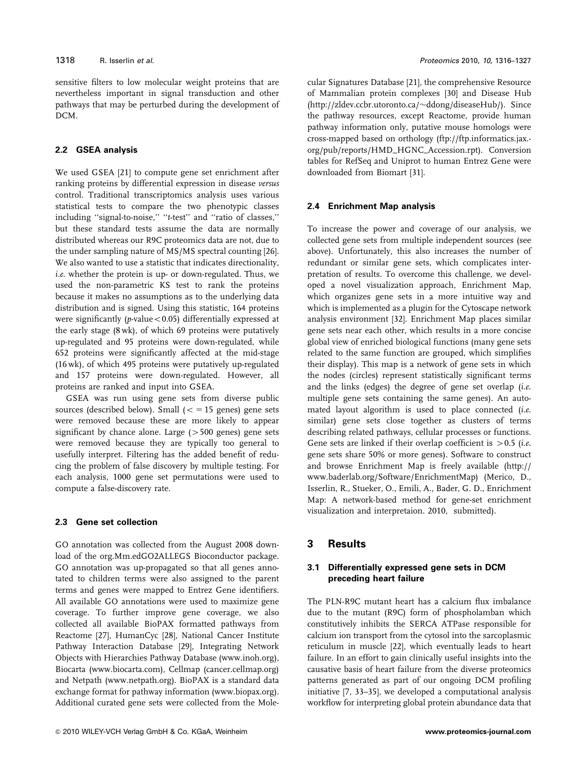sensitive filters to low molecular weight proteins that are nevertheless important in signal transduction and other pathways that may be perturbed during the development of DCM.

#### **2.2 GSEA analysis**

We used GSEA [21] to compute gene set enrichment after ranking proteins by differential expression in disease versus control. Traditional transcriptomics analysis uses various statistical tests to compare the two phenotypic classes including ''signal-to-noise,'' ''t-test'' and ''ratio of classes,'' but these standard tests assume the data are normally distributed whereas our R9C proteomics data are not, due to the under sampling nature of MS/MS spectral counting [26]. We also wanted to use a statistic that indicates directionality, i.e. whether the protein is up- or down-regulated. Thus, we used the non-parametric KS test to rank the proteins because it makes no assumptions as to the underlying data distribution and is signed. Using this statistic, 164 proteins were significantly ( $p$ -value < 0.05) differentially expressed at the early stage (8 wk), of which 69 proteins were putatively up-regulated and 95 proteins were down-regulated, while 652 proteins were significantly affected at the mid-stage (16 wk), of which 495 proteins were putatively up-regulated and 157 proteins were down-regulated. However, all proteins are ranked and input into GSEA.

GSEA was run using gene sets from diverse public sources (described below). Small  $(<$  = 15 genes) gene sets were removed because these are more likely to appear significant by chance alone. Large  $(>500$  genes) gene sets were removed because they are typically too general to usefully interpret. Filtering has the added benefit of reducing the problem of false discovery by multiple testing. For each analysis, 1000 gene set permutations were used to compute a false-discovery rate.

## **2.3 Gene set collection**

GO annotation was collected from the August 2008 download of the org.Mm.edGO2ALLEGS Bioconductor package. GO annotation was up-propagated so that all genes annotated to children terms were also assigned to the parent terms and genes were mapped to Entrez Gene identifiers. All available GO annotations were used to maximize gene coverage. To further improve gene coverage, we also collected all available BioPAX formatted pathways from Reactome [27], HumanCyc [28], National Cancer Institute Pathway Interaction Database [29], Integrating Network Objects with Hierarchies Pathway Database (www.inoh.org), Biocarta (www.biocarta.com), Cellmap (cancer.cellmap.org) and Netpath (www.netpath.org). BioPAX is a standard data exchange format for pathway information (www.biopax.org). Additional curated gene sets were collected from the Molecular Signatures Database [21], the comprehensive Resource of Mammalian protein complexes [30] and Disease Hub (http://zldev.ccbr.utoronto.ca/-ddong/diseaseHub/). Since the pathway resources, except Reactome, provide human pathway information only, putative mouse homologs were cross-mapped based on orthology (ftp://ftp.informatics.jax. org/pub/reports/HMD\_HGNC\_Accession.rpt). Conversion tables for RefSeq and Uniprot to human Entrez Gene were downloaded from Biomart [31].

#### **2.4 Enrichment Map analysis**

To increase the power and coverage of our analysis, we collected gene sets from multiple independent sources (see above). Unfortunately, this also increases the number of redundant or similar gene sets, which complicates interpretation of results. To overcome this challenge, we developed a novel visualization approach, Enrichment Map, which organizes gene sets in a more intuitive way and which is implemented as a plugin for the Cytoscape network analysis environment [32]. Enrichment Map places similar gene sets near each other, which results in a more concise global view of enriched biological functions (many gene sets related to the same function are grouped, which simplifies their display). This map is a network of gene sets in which the nodes (circles) represent statistically significant terms and the links (edges) the degree of gene set overlap (i.e. multiple gene sets containing the same genes). An automated layout algorithm is used to place connected (i.e. similar) gene sets close together as clusters of terms describing related pathways, cellular processes or functions. Gene sets are linked if their overlap coefficient is  $> 0.5$  (i.e. gene sets share 50% or more genes). Software to construct and browse Enrichment Map is freely available (http:// www.baderlab.org/Software/EnrichmentMap) (Merico, D., Isserlin, R., Stueker, O., Emili, A., Bader, G. D., Enrichment Map: A network-based method for gene-set enrichment visualization and interpretaion. 2010, submitted).

# **3 Results**

# **3.1 Differentially expressed gene sets in DCM preceding heart failure**

The PLN-R9C mutant heart has a calcium flux imbalance due to the mutant (R9C) form of phospholamban which constitutively inhibits the SERCA ATPase responsible for calcium ion transport from the cytosol into the sarcoplasmic reticulum in muscle [22], which eventually leads to heart failure. In an effort to gain clinically useful insights into the causative basis of heart failure from the diverse proteomics patterns generated as part of our ongoing DCM profiling initiative [7, 33–35], we developed a computational analysis workflow for interpreting global protein abundance data that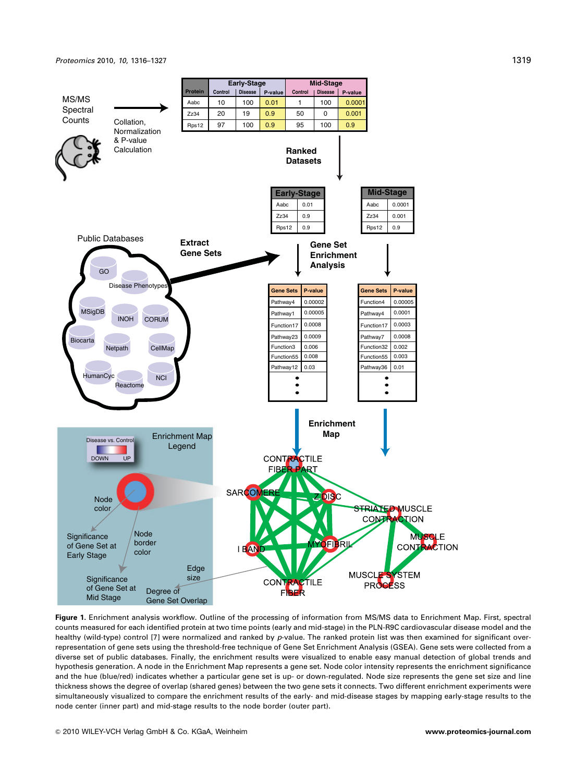

**Figure 1.** Enrichment analysis workflow. Outline of the processing of information from MS/MS data to Enrichment Map. First, spectral counts measured for each identified protein at two time points (early and mid-stage) in the PLN-R9C cardiovascular disease model and the healthy (wild-type) control [7] were normalized and ranked by *p*-value. The ranked protein list was then examined for significant overrepresentation of gene sets using the threshold-free technique of Gene Set Enrichment Analysis (GSEA). Gene sets were collected from a diverse set of public databases. Finally, the enrichment results were visualized to enable easy manual detection of global trends and hypothesis generation. A node in the Enrichment Map represents a gene set. Node color intensity represents the enrichment significance and the hue (blue/red) indicates whether a particular gene set is up- or down-regulated. Node size represents the gene set size and line thickness shows the degree of overlap (shared genes) between the two gene sets it connects. Two different enrichment experiments were simultaneously visualized to compare the enrichment results of the early- and mid-disease stages by mapping early-stage results to the node center (inner part) and mid-stage results to the node border (outer part).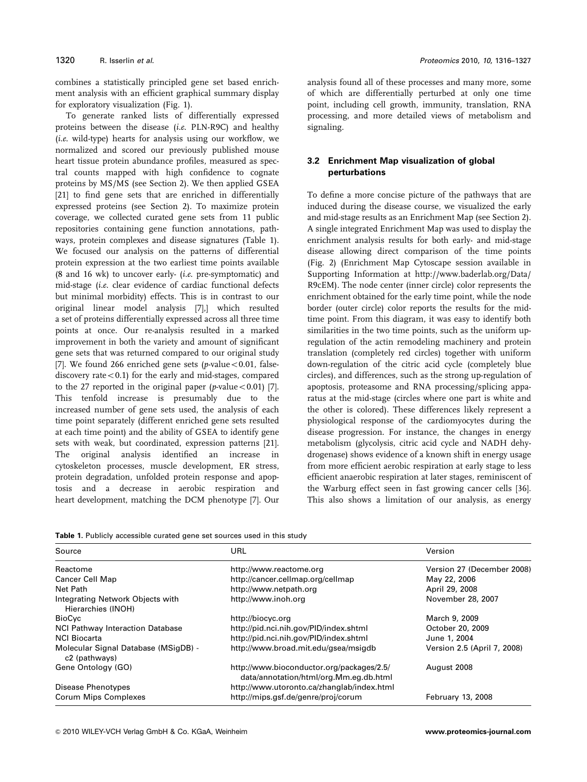combines a statistically principled gene set based enrichment analysis with an efficient graphical summary display for exploratory visualization (Fig. 1).

To generate ranked lists of differentially expressed proteins between the disease (i.e. PLN-R9C) and healthy (i.e. wild-type) hearts for analysis using our workflow, we normalized and scored our previously published mouse heart tissue protein abundance profiles, measured as spectral counts mapped with high confidence to cognate proteins by MS/MS (see Section 2). We then applied GSEA [21] to find gene sets that are enriched in differentially expressed proteins (see Section 2). To maximize protein coverage, we collected curated gene sets from 11 public repositories containing gene function annotations, pathways, protein complexes and disease signatures (Table 1). We focused our analysis on the patterns of differential protein expression at the two earliest time points available (8 and 16 wk) to uncover early- (i.e. pre-symptomatic) and mid-stage (i.e. clear evidence of cardiac functional defects but minimal morbidity) effects. This is in contrast to our original linear model analysis [7],] which resulted a set of proteins differentially expressed across all three time points at once. Our re-analysis resulted in a marked improvement in both the variety and amount of significant gene sets that was returned compared to our original study [7]. We found 266 enriched gene sets ( $p$ -value < 0.01, falsediscovery rate $< 0.1$ ) for the early and mid-stages, compared to the 27 reported in the original paper (p-value  $< 0.01$ ) [7]. This tenfold increase is presumably due to the increased number of gene sets used, the analysis of each time point separately (different enriched gene sets resulted at each time point) and the ability of GSEA to identify gene sets with weak, but coordinated, expression patterns [21]. The original analysis identified an increase in cytoskeleton processes, muscle development, ER stress, protein degradation, unfolded protein response and apoptosis and a decrease in aerobic respiration and heart development, matching the DCM phenotype [7]. Our analysis found all of these processes and many more, some of which are differentially perturbed at only one time point, including cell growth, immunity, translation, RNA processing, and more detailed views of metabolism and signaling.

# **3.2 Enrichment Map visualization of global perturbations**

To define a more concise picture of the pathways that are induced during the disease course, we visualized the early and mid-stage results as an Enrichment Map (see Section 2). A single integrated Enrichment Map was used to display the enrichment analysis results for both early- and mid-stage disease allowing direct comparison of the time points (Fig. 2) (Enrichment Map Cytoscape session available in Supporting Information at http://www.baderlab.org/Data/ R9cEM). The node center (inner circle) color represents the enrichment obtained for the early time point, while the node border (outer circle) color reports the results for the midtime point. From this diagram, it was easy to identify both similarities in the two time points, such as the uniform upregulation of the actin remodeling machinery and protein translation (completely red circles) together with uniform down-regulation of the citric acid cycle (completely blue circles), and differences, such as the strong up-regulation of apoptosis, proteasome and RNA processing/splicing apparatus at the mid-stage (circles where one part is white and the other is colored). These differences likely represent a physiological response of the cardiomyocytes during the disease progression. For instance, the changes in energy metabolism (glycolysis, citric acid cycle and NADH dehydrogenase) shows evidence of a known shift in energy usage from more efficient aerobic respiration at early stage to less efficient anaerobic respiration at later stages, reminiscent of the Warburg effect seen in fast growing cancer cells [36]. This also shows a limitation of our analysis, as energy

|  |  | <b>Table 1.</b> Publicly accessible curated gene set sources used in this study |  |  |  |  |  |  |
|--|--|---------------------------------------------------------------------------------|--|--|--|--|--|--|
|--|--|---------------------------------------------------------------------------------|--|--|--|--|--|--|

| Source                                                 | URL                                                                                 | Version                     |  |
|--------------------------------------------------------|-------------------------------------------------------------------------------------|-----------------------------|--|
| Reactome                                               | http://www.reactome.org                                                             | Version 27 (December 2008)  |  |
| Cancer Cell Map                                        | http://cancer.cellmap.org/cellmap                                                   | May 22, 2006                |  |
| Net Path                                               | http://www.netpath.org                                                              | April 29, 2008              |  |
| Integrating Network Objects with<br>Hierarchies (INOH) | http://www.inoh.org                                                                 | November 28, 2007           |  |
| BioCyc                                                 | http://biocyc.org                                                                   | March 9, 2009               |  |
| <b>NCI Pathway Interaction Database</b>                | http://pid.nci.nih.gov/PID/index.shtml                                              | October 20, 2009            |  |
| <b>NCI Biocarta</b>                                    | http://pid.nci.nih.gov/PID/index.shtml                                              | June 1, 2004                |  |
| Molecular Signal Database (MSigDB) -<br>c2 (pathways)  | http://www.broad.mit.edu/gsea/msigdb                                                | Version 2.5 (April 7, 2008) |  |
| Gene Ontology (GO)                                     | http://www.bioconductor.org/packages/2.5/<br>data/annotation/html/org.Mm.eg.db.html | August 2008                 |  |
| Disease Phenotypes                                     | http://www.utoronto.ca/zhanglab/index.html                                          |                             |  |
| Corum Mips Complexes                                   | http://mips.gsf.de/genre/proj/corum                                                 | February 13, 2008           |  |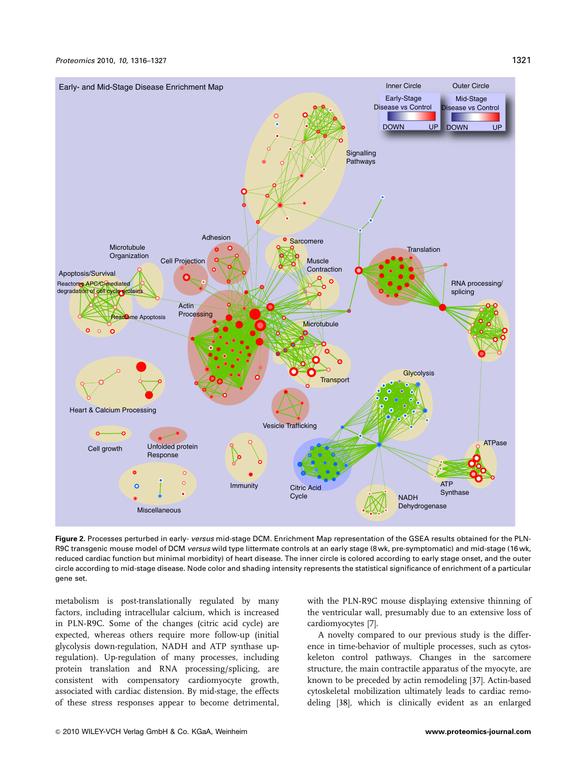

**Figure 2.** Processes perturbed in early- *versus* mid-stage DCM. Enrichment Map representation of the GSEA results obtained for the PLN-R9C transgenic mouse model of DCM *versus* wild type littermate controls at an early stage (8 wk, pre-symptomatic) and mid-stage (16 wk, reduced cardiac function but minimal morbidity) of heart disease. The inner circle is colored according to early stage onset, and the outer circle according to mid-stage disease. Node color and shading intensity represents the statistical significance of enrichment of a particular gene set.

metabolism is post-translationally regulated by many factors, including intracellular calcium, which is increased in PLN-R9C. Some of the changes (citric acid cycle) are expected, whereas others require more follow-up (initial glycolysis down-regulation, NADH and ATP synthase upregulation). Up-regulation of many processes, including protein translation and RNA processing/splicing, are consistent with compensatory cardiomyocyte growth, associated with cardiac distension. By mid-stage, the effects of these stress responses appear to become detrimental, with the PLN-R9C mouse displaying extensive thinning of the ventricular wall, presumably due to an extensive loss of cardiomyocytes [7].

A novelty compared to our previous study is the difference in time-behavior of multiple processes, such as cytoskeleton control pathways. Changes in the sarcomere structure, the main contractile apparatus of the myocyte, are known to be preceded by actin remodeling [37]. Actin-based cytoskeletal mobilization ultimately leads to cardiac remodeling [38], which is clinically evident as an enlarged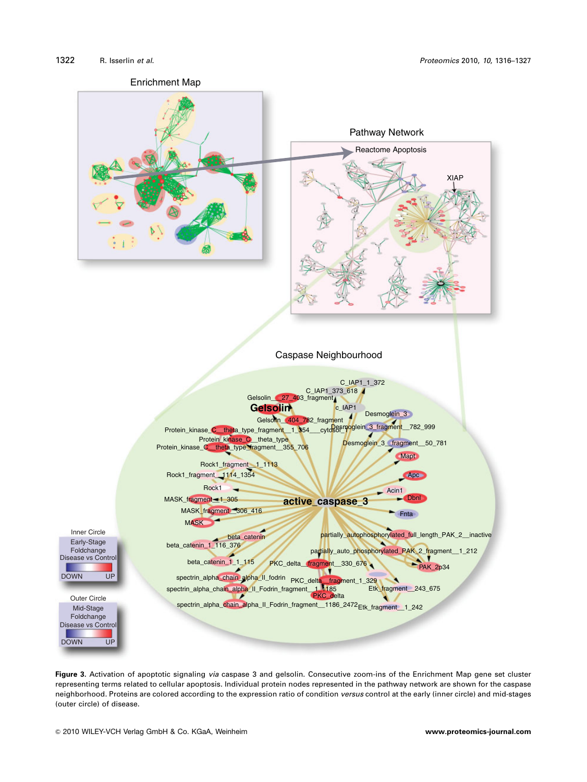

**Figure 3.** Activation of apoptotic signaling *via* caspase 3 and gelsolin. Consecutive zoom-ins of the Enrichment Map gene set cluster representing terms related to cellular apoptosis. Individual protein nodes represented in the pathway network are shown for the caspase neighborhood. Proteins are colored according to the expression ratio of condition *versus* control at the early (inner circle) and mid-stages (outer circle) of disease.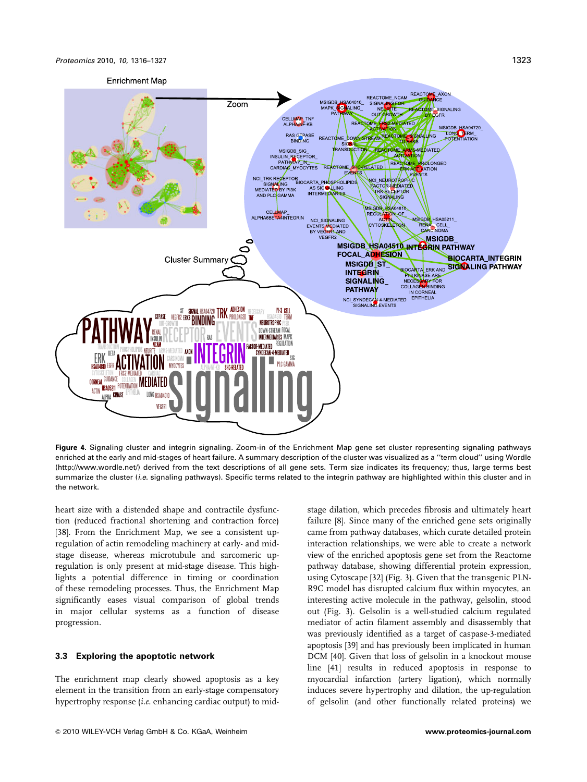

**Figure 4.** Signaling cluster and integrin signaling. Zoom-in of the Enrichment Map gene set cluster representing signaling pathways enriched at the early and mid-stages of heart failure. A summary description of the cluster was visualized as a ''term cloud'' using Wordle (http://www.wordle.net/) derived from the text descriptions of all gene sets. Term size indicates its frequency; thus, large terms best summarize the cluster (*i.e*. signaling pathways). Specific terms related to the integrin pathway are highlighted within this cluster and in the network.

heart size with a distended shape and contractile dysfunction (reduced fractional shortening and contraction force) [38]. From the Enrichment Map, we see a consistent upregulation of actin remodeling machinery at early- and midstage disease, whereas microtubule and sarcomeric upregulation is only present at mid-stage disease. This highlights a potential difference in timing or coordination of these remodeling processes. Thus, the Enrichment Map significantly eases visual comparison of global trends in major cellular systems as a function of disease progression.

#### **3.3 Exploring the apoptotic network**

The enrichment map clearly showed apoptosis as a key element in the transition from an early-stage compensatory hypertrophy response *(i.e.* enhancing cardiac output) to midfailure [8]. Since many of the enriched gene sets originally came from pathway databases, which curate detailed protein interaction relationships, we were able to create a network view of the enriched apoptosis gene set from the Reactome pathway database, showing differential protein expression, using Cytoscape [32] (Fig. 3). Given that the transgenic PLN-R9C model has disrupted calcium flux within myocytes, an interesting active molecule in the pathway, gelsolin, stood out (Fig. 3). Gelsolin is a well-studied calcium regulated mediator of actin filament assembly and disassembly that was previously identified as a target of caspase-3-mediated apoptosis [39] and has previously been implicated in human DCM [40]. Given that loss of gelsolin in a knockout mouse line [41] results in reduced apoptosis in response to myocardial infarction (artery ligation), which normally induces severe hypertrophy and dilation, the up-regulation of gelsolin (and other functionally related proteins) we

stage dilation, which precedes fibrosis and ultimately heart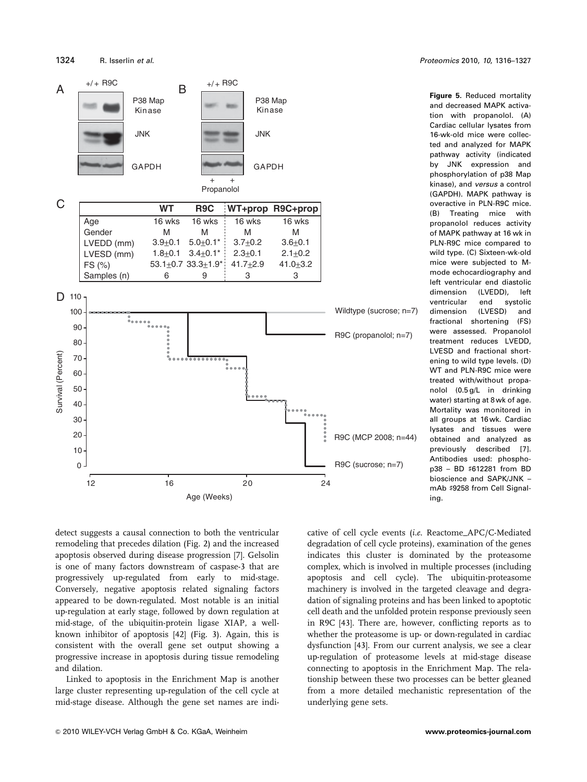

**Figure 5.** Reduced mortality and decreased MAPK activation with propanolol. (A) Cardiac cellular lysates from 16-wk-old mice were collected and analyzed for MAPK pathway activity (indicated by JNK expression and phosphorylation of p38 Map kinase), and *versus* a control (GAPDH). MAPK pathway is overactive in PLN-R9C mice. (B) Treating mice with propanolol reduces activity of MAPK pathway at 16 wk in PLN-R9C mice compared to wild type. (C) Sixteen-wk-old mice were subjected to Mmode echocardiography and left ventricular end diastolic dimension (LVEDD), left ventricular end systolic dimension (LVESD) and fractional shortening (FS) were assessed. Propanolol treatment reduces LVEDD, LVESD and fractional shortening to wild type levels. (D) WT and PLN-R9C mice were treated with/without propanolol (0.5 g/L in drinking water) starting at 8 wk of age. Mortality was monitored in all groups at 16 wk. Cardiac lysates and tissues were obtained and analyzed as previously described [7]. Antibodies used: phosphop38 - BD #612281 from BD bioscience and SAPK/JNK – mAb #9258 from Cell Signaling.

detect suggests a causal connection to both the ventricular remodeling that precedes dilation (Fig. 2) and the increased apoptosis observed during disease progression [7]. Gelsolin is one of many factors downstream of caspase-3 that are progressively up-regulated from early to mid-stage. Conversely, negative apoptosis related signaling factors appeared to be down-regulated. Most notable is an initial up-regulation at early stage, followed by down regulation at mid-stage, of the ubiquitin-protein ligase XIAP, a wellknown inhibitor of apoptosis [42] (Fig. 3). Again, this is consistent with the overall gene set output showing a progressive increase in apoptosis during tissue remodeling and dilation.

Linked to apoptosis in the Enrichment Map is another large cluster representing up-regulation of the cell cycle at mid-stage disease. Although the gene set names are indicative of cell cycle events (i.e. Reactome\_APC/C-Mediated degradation of cell cycle proteins), examination of the genes indicates this cluster is dominated by the proteasome complex, which is involved in multiple processes (including apoptosis and cell cycle). The ubiquitin-proteasome machinery is involved in the targeted cleavage and degradation of signaling proteins and has been linked to apoptotic cell death and the unfolded protein response previously seen in R9C [43]. There are, however, conflicting reports as to whether the proteasome is up- or down-regulated in cardiac dysfunction [43]. From our current analysis, we see a clear up-regulation of proteasome levels at mid-stage disease connecting to apoptosis in the Enrichment Map. The relationship between these two processes can be better gleaned from a more detailed mechanistic representation of the underlying gene sets.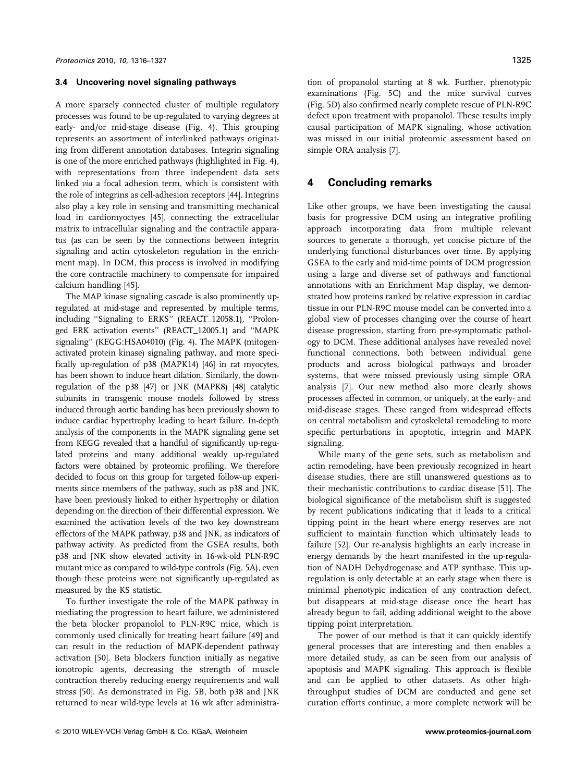#### **3.4 Uncovering novel signaling pathways**

A more sparsely connected cluster of multiple regulatory processes was found to be up-regulated to varying degrees at early- and/or mid-stage disease (Fig. 4). This grouping represents an assortment of interlinked pathways originating from different annotation databases. Integrin signaling is one of the more enriched pathways (highlighted in Fig. 4), with representations from three independent data sets linked via a focal adhesion term, which is consistent with the role of integrins as cell-adhesion receptors [44]. Integrins also play a key role in sensing and transmitting mechanical load in cardiomyoctyes [45], connecting the extracellular matrix to intracellular signaling and the contractile apparatus (as can be seen by the connections between integrin signaling and actin cytoskeleton regulation in the enrichment map). In DCM, this process is involved in modifying the core contractile machinery to compensate for impaired calcium handling [45].

The MAP kinase signaling cascade is also prominently upregulated at mid-stage and represented by multiple terms, including ''Signaling to ERKS'' (REACT\_12058.1), ''Prolonged ERK activation events'' (REACT\_12005.1) and ''MAPK signaling'' (KEGG:HSA04010) (Fig. 4). The MAPK (mitogenactivated protein kinase) signaling pathway, and more specifically up-regulation of p38 (MAPK14) [46] in rat myocytes, has been shown to induce heart dilation. Similarly, the downregulation of the p38 [47] or JNK (MAPK8) [48] catalytic subunits in transgenic mouse models followed by stress induced through aortic banding has been previously shown to induce cardiac hypertrophy leading to heart failure. In-depth analysis of the components in the MAPK signaling gene set from KEGG revealed that a handful of significantly up-regulated proteins and many additional weakly up-regulated factors were obtained by proteomic profiling. We therefore decided to focus on this group for targeted follow-up experiments since members of the pathway, such as p38 and JNK, have been previously linked to either hypertrophy or dilation depending on the direction of their differential expression. We examined the activation levels of the two key downstream effectors of the MAPK pathway, p38 and JNK, as indicators of pathway activity. As predicted from the GSEA results, both p38 and JNK show elevated activity in 16-wk-old PLN-R9C mutant mice as compared to wild-type controls (Fig. 5A), even though these proteins were not significantly up-regulated as measured by the KS statistic.

To further investigate the role of the MAPK pathway in mediating the progression to heart failure, we administered the beta blocker propanolol to PLN-R9C mice, which is commonly used clinically for treating heart failure [49] and can result in the reduction of MAPK-dependent pathway activation [50]. Beta blockers function initially as negative ionotropic agents, decreasing the strength of muscle contraction thereby reducing energy requirements and wall stress [50]. As demonstrated in Fig. 5B, both p38 and JNK returned to near wild-type levels at 16 wk after administration of propanolol starting at 8 wk. Further, phenotypic examinations (Fig. 5C) and the mice survival curves (Fig. 5D) also confirmed nearly complete rescue of PLN-R9C defect upon treatment with propanolol. These results imply causal participation of MAPK signaling, whose activation was missed in our initial proteomic assessment based on simple ORA analysis [7].

# **4 Concluding remarks**

Like other groups, we have been investigating the causal basis for progressive DCM using an integrative profiling approach incorporating data from multiple relevant sources to generate a thorough, yet concise picture of the underlying functional disturbances over time. By applying GSEA to the early and mid-time points of DCM progression using a large and diverse set of pathways and functional annotations with an Enrichment Map display, we demonstrated how proteins ranked by relative expression in cardiac tissue in our PLN-R9C mouse model can be converted into a global view of processes changing over the course of heart disease progression, starting from pre-symptomatic pathology to DCM. These additional analyses have revealed novel functional connections, both between individual gene products and across biological pathways and broader systems, that were missed previously using simple ORA analysis [7]. Our new method also more clearly shows processes affected in common, or uniquely, at the early- and mid-disease stages. These ranged from widespread effects on central metabolism and cytoskeletal remodeling to more specific perturbations in apoptotic, integrin and MAPK signaling.

While many of the gene sets, such as metabolism and actin remodeling, have been previously recognized in heart disease studies, there are still unanswered questions as to their mechanistic contributions to cardiac disease [51]. The biological significance of the metabolism shift is suggested by recent publications indicating that it leads to a critical tipping point in the heart where energy reserves are not sufficient to maintain function which ultimately leads to failure [52]. Our re-analysis highlights an early increase in energy demands by the heart manifested in the up-regulation of NADH Dehydrogenase and ATP synthase. This upregulation is only detectable at an early stage when there is minimal phenotypic indication of any contraction defect, but disappears at mid-stage disease once the heart has already begun to fail, adding additional weight to the above tipping point interpretation.

The power of our method is that it can quickly identify general processes that are interesting and then enables a more detailed study, as can be seen from our analysis of apoptosis and MAPK signaling. This approach is flexible and can be applied to other datasets. As other highthroughput studies of DCM are conducted and gene set curation efforts continue, a more complete network will be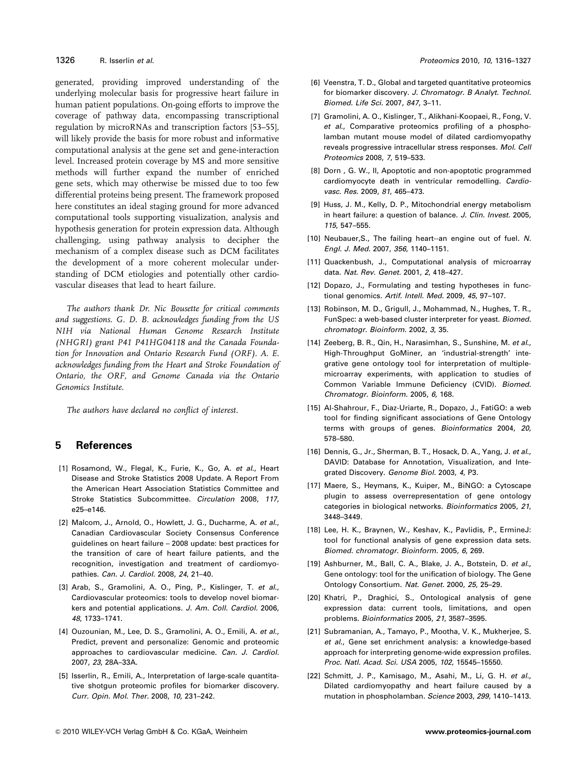generated, providing improved understanding of the underlying molecular basis for progressive heart failure in human patient populations. On-going efforts to improve the coverage of pathway data, encompassing transcriptional regulation by microRNAs and transcription factors [53–55], will likely provide the basis for more robust and informative computational analysis at the gene set and gene-interaction level. Increased protein coverage by MS and more sensitive methods will further expand the number of enriched gene sets, which may otherwise be missed due to too few differential proteins being present. The framework proposed here constitutes an ideal staging ground for more advanced computational tools supporting visualization, analysis and hypothesis generation for protein expression data. Although challenging, using pathway analysis to decipher the mechanism of a complex disease such as DCM facilitates the development of a more coherent molecular understanding of DCM etiologies and potentially other cardiovascular diseases that lead to heart failure.

The authors thank Dr. Nic Bousette for critical comments and suggestions. G. D. B. acknowledges funding from the US NIH via National Human Genome Research Institute (NHGRI) grant P41 P41HG04118 and the Canada Foundation for Innovation and Ontario Research Fund (ORF). A. E. acknowledges funding from the Heart and Stroke Foundation of Ontario, the ORF, and Genome Canada via the Ontario Genomics Institute.

The authors have declared no conflict of interest.

# **5 References**

- [1] Rosamond, W., Flegal, K., Furie, K., Go, A. *et al*., Heart Disease and Stroke Statistics 2008 Update. A Report From the American Heart Association Statistics Committee and Stroke Statistics Subcommittee. *Circulation* 2008, *117*, e25–e146.
- [2] Malcom, J., Arnold, O., Howlett, J. G., Ducharme, A. *et al*., Canadian Cardiovascular Society Consensus Conference guidelines on heart failure – 2008 update: best practices for the transition of care of heart failure patients, and the recognition, investigation and treatment of cardiomyopathies. *Can. J. Cardiol.* 2008, *24*, 21–40.
- [3] Arab, S., Gramolini, A. O., Ping, P., Kislinger, T. *et al*., Cardiovascular proteomics: tools to develop novel biomarkers and potential applications. *J. Am. Coll. Cardiol.* 2006, *48*, 1733–1741.
- [4] Ouzounian, M., Lee, D. S., Gramolini, A. O., Emili, A. *et al*., Predict, prevent and personalize: Genomic and proteomic approaches to cardiovascular medicine. *Can. J. Cardiol.* 2007, *23*, 28A–33A.
- [5] Isserlin, R., Emili, A., Interpretation of large-scale quantitative shotgun proteomic profiles for biomarker discovery. *Curr. Opin. Mol. Ther.* 2008, *10*, 231–242.
- [6] Veenstra, T. D., Global and targeted quantitative proteomics for biomarker discovery. *J. Chromatogr. B Analyt. Technol. Biomed. Life Sci.* 2007, *847*, 3–11.
- [7] Gramolini, A. O., Kislinger, T., Alikhani-Koopaei, R., Fong, V. *et al*., Comparative proteomics profiling of a phospholamban mutant mouse model of dilated cardiomyopathy reveals progressive intracellular stress responses. *Mol. Cell Proteomics* 2008, *7*, 519–533.
- [8] Dorn , G. W., II, Apoptotic and non-apoptotic programmed cardiomyocyte death in ventricular remodelling. *Cardiovasc. Res.* 2009, *81*, 465–473.
- [9] Huss, J. M., Kelly, D. P., Mitochondrial energy metabolism in heart failure: a question of balance. *J. Clin. Invest.* 2005, *115*, 547–555.
- [10] Neubauer,S., The failing heart--an engine out of fuel. *N. Engl. J. Med.* 2007, *356*, 1140–1151.
- [11] Quackenbush, J., Computational analysis of microarray data. *Nat. Rev. Genet.* 2001, *2*, 418–427.
- [12] Dopazo, J., Formulating and testing hypotheses in functional genomics. *Artif. Intell. Med.* 2009, *45*, 97–107.
- [13] Robinson, M. D., Grigull, J., Mohammad, N., Hughes, T. R., FunSpec: a web-based cluster interpreter for yeast. *Biomed. chromatogr. Bioinform.* 2002, *3*, 35.
- [14] Zeeberg, B. R., Qin, H., Narasimhan, S., Sunshine, M. *et al*., High-Throughput GoMiner, an 'industrial-strength' integrative gene ontology tool for interpretation of multiplemicroarray experiments, with application to studies of Common Variable Immune Deficiency (CVID). *Biomed. Chromatogr. Bioinform.* 2005, *6*, 168.
- [15] Al-Shahrour, F., Diaz-Uriarte, R., Dopazo, J., FatiGO: a web tool for finding significant associations of Gene Ontology terms with groups of genes. *Bioinformatics* 2004, *20*, 578–580.
- [16] Dennis, G., Jr., Sherman, B. T., Hosack, D. A., Yang, J. *et al*., DAVID: Database for Annotation, Visualization, and Integrated Discovery. *Genome Biol.* 2003, *4*, P3.
- [17] Maere, S., Heymans, K., Kuiper, M., BiNGO: a Cytoscape plugin to assess overrepresentation of gene ontology categories in biological networks. *Bioinformatics* 2005, *21*, 3448–3449.
- [18] Lee, H. K., Braynen, W., Keshav, K., Pavlidis, P., ErmineJ: tool for functional analysis of gene expression data sets. *Biomed. chromatogr. Bioinform.* 2005, *6*, 269.
- [19] Ashburner, M., Ball, C. A., Blake, J. A., Botstein, D. *et al*., Gene ontology: tool for the unification of biology. The Gene Ontology Consortium. *Nat. Genet.* 2000, *25*, 25–29.
- [20] Khatri, P., Draghici, S., Ontological analysis of gene expression data: current tools, limitations, and open problems. *Bioinformatics* 2005, *21*, 3587–3595.
- [21] Subramanian, A., Tamayo, P., Mootha, V. K., Mukherjee, S. *et al*., Gene set enrichment analysis: a knowledge-based approach for interpreting genome-wide expression profiles. *Proc. Natl. Acad. Sci. USA* 2005, *102*, 15545–15550.
- [22] Schmitt, J. P., Kamisago, M., Asahi, M., Li, G. H. *et al*., Dilated cardiomyopathy and heart failure caused by a mutation in phospholamban. *Science* 2003, *299*, 1410–1413.